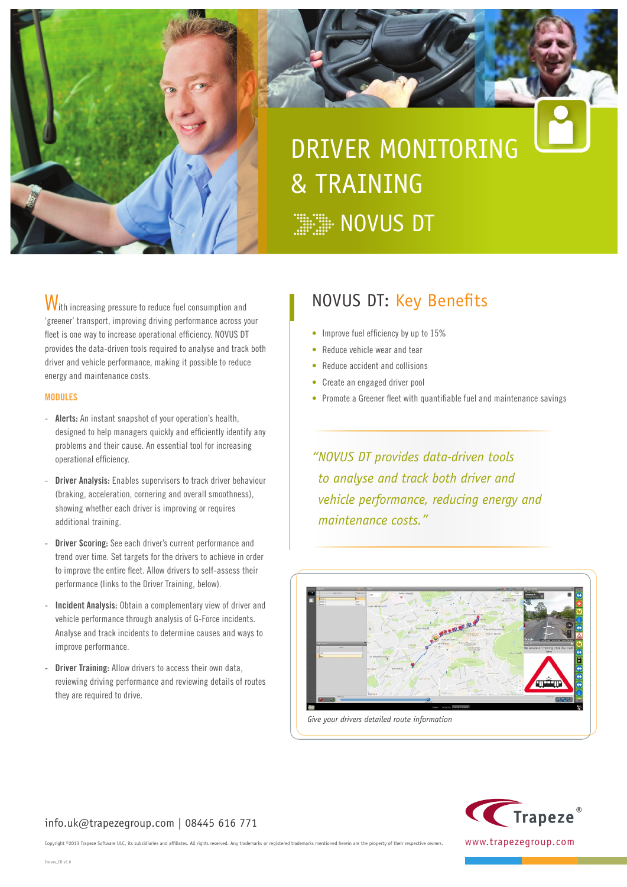

# DRIVER MONITORING & TRAINING **WEBSINIS DT**

With increasing pressure to reduce fuel consumption and 'greener' transport, improving driving performance across your fleet is one way to increase operational efficiency. NOVUS DT provides the data-driven tools required to analyse and track both driver and vehicle performance, making it possible to reduce energy and maintenance costs.

#### **MODULES**

- **Alerts:** An instant snapshot of your operation's health, designed to help managers quickly and efficiently identify any problems and their cause. An essential tool for increasing operational efficiency.
- **Driver Analysis:** Enables supervisors to track driver behaviour (braking, acceleration, cornering and overall smoothness), showing whether each driver is improving or requires additional training.
- Driver Scoring: See each driver's current performance and trend over time. Set targets for the drivers to achieve in order to improve the entire fleet. Allow drivers to self-assess their performance (links to the Driver Training, below).
- **Incident Analysis:** Obtain a complementary view of driver and vehicle performance through analysis of G-Force incidents. Analyse and track incidents to determine causes and ways to improve performance.
- **Driver Training:** Allow drivers to access their own data, reviewing driving performance and reviewing details of routes they are required to drive.

## NOVUS DT: Key Benefits

- Improve fuel efficiency by up to 15%
- Reduce vehicle wear and tear
- Reduce accident and collisions
- Create an engaged driver pool
- Promote a Greener fleet with quantifiable fuel and maintenance savings

*"NOVUS DT provides data-driven tools to analyse and track both driver and vehicle performance, reducing energy and maintenance costs."*





#### info.uk@trapezegroup.com | 08445 616 771

Copyright ©2013 Trapeze Software ULC, its subsidiaries and affiliates. All rights reserved. Any trademarks or registered trademarks mentioned herein are the property of their respective owners.